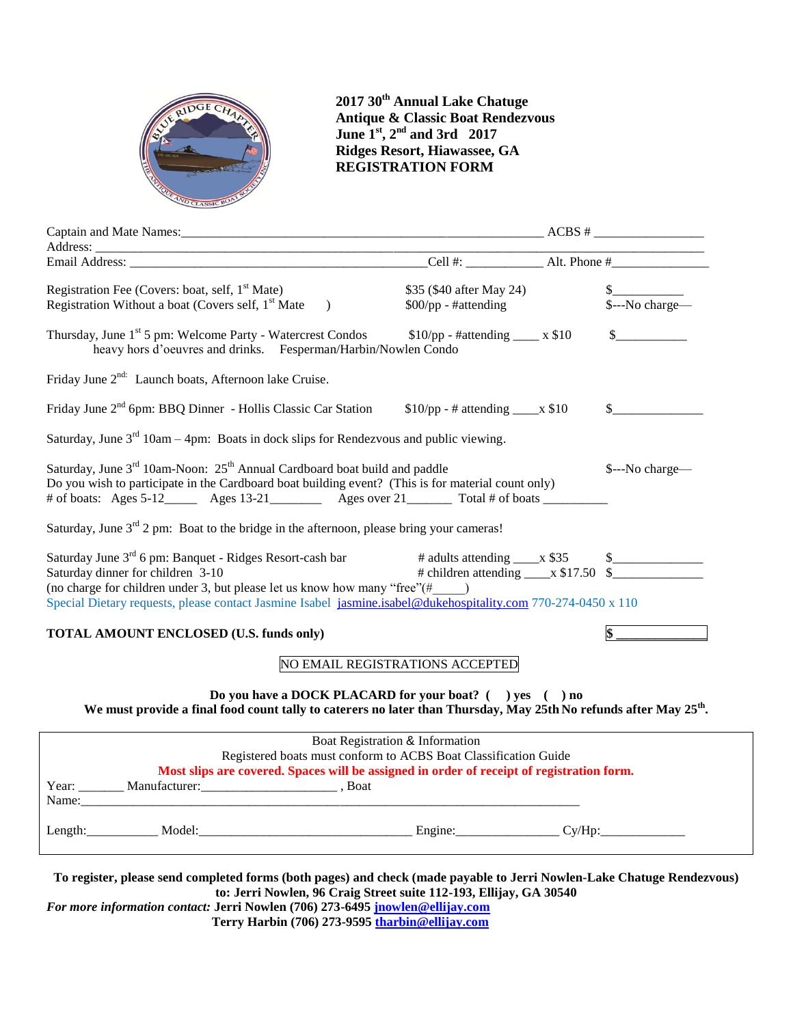

**2017 30th Annual Lake Chatuge Antique & Classic Boat Rendezvous June 1 st, 2nd and 3rd 2017 Ridges Resort, Hiawassee, GA REGISTRATION FORM**

| Registration Fee (Covers: boat, self, 1 <sup>st</sup> Mate)<br>Registration Without a boat (Covers self, 1 <sup>st</sup> Mate<br>$\rightarrow$                                                                                                                                                                      | \$35 (\$40 after May 24)<br>$$00$ /pp - #attending                                               |  | $\frac{\S}{\S$ ---No charge— |
|---------------------------------------------------------------------------------------------------------------------------------------------------------------------------------------------------------------------------------------------------------------------------------------------------------------------|--------------------------------------------------------------------------------------------------|--|------------------------------|
| Thursday, June 1 <sup>st</sup> 5 pm: Welcome Party - Watercrest Condos<br>heavy hors d'oeuvres and drinks. Fesperman/Harbin/Nowlen Condo                                                                                                                                                                            | $$10$ /pp - #attending ____ x \$10                                                               |  | $\mathcal{S}$                |
| Friday June 2 <sup>nd:</sup> Launch boats, Afternoon lake Cruise.                                                                                                                                                                                                                                                   |                                                                                                  |  |                              |
| Friday June $2^{nd}$ 6pm: BBQ Dinner - Hollis Classic Car Station $$10$ /pp - # attending ____x \$10                                                                                                                                                                                                                |                                                                                                  |  | $\mathbb{S}$                 |
| Saturday, June $3^{rd}$ 10am - 4pm: Boats in dock slips for Rendezvous and public viewing.                                                                                                                                                                                                                          |                                                                                                  |  |                              |
| Saturday, June 3 <sup>rd</sup> 10am-Noon: 25 <sup>th</sup> Annual Cardboard boat build and paddle<br>Do you wish to participate in the Cardboard boat building event? (This is for material count only)<br># of boats: Ages 5-12________ Ages 13-21___________ Ages over 21___________ Total # of boats ___________ |                                                                                                  |  | \$---No charge-              |
| Saturday, June $3^{rd}$ 2 pm: Boat to the bridge in the afternoon, please bring your cameras!                                                                                                                                                                                                                       |                                                                                                  |  |                              |
| Saturday June 3 <sup>rd</sup> 6 pm: Banquet - Ridges Resort-cash bar<br>Saturday dinner for children 3-10<br>(no charge for children under 3, but please let us know how many "free" $(\# \qquad)$<br>Special Dietary requests, please contact Jasmine Isabel jasmine.isabel@dukehospitality.com 770-274-0450 x 110 | # adults attending $\_\_\ x$ \$35 $\_\_\_\_\_\_\_\_\_\_\_\_\_\_\_\_\_\_\_\_\_\_\_\_\_\_\_\_\_\_$ |  |                              |
| <b>TOTAL AMOUNT ENCLOSED (U.S. funds only)</b>                                                                                                                                                                                                                                                                      |                                                                                                  |  |                              |
|                                                                                                                                                                                                                                                                                                                     | NO EMAIL REGISTRATIONS ACCEPTED                                                                  |  |                              |
| Do you have a DOCK PLACARD for your boat? () yes () no<br>We must provide a final food count tally to caterers no later than Thursday, May 25th No refunds after May 25 <sup>th</sup> .                                                                                                                             |                                                                                                  |  |                              |
| Registered boats must conform to ACBS Boat Classification Guide<br>Most slips are covered. Spaces will be assigned in order of receipt of registration form.<br>Name:                                                                                                                                               | Boat Registration & Information                                                                  |  |                              |
|                                                                                                                                                                                                                                                                                                                     |                                                                                                  |  | Cy/Hp:                       |

**To register, please send completed forms (both pages) and check (made payable to Jerri Nowlen-Lake Chatuge Rendezvous) to: Jerri Nowlen, 96 Craig Street suite 112-193, Ellijay, GA 30540**

*For more information contact:* **Jerri Nowlen (706) 273-6495 [jnowlen@ellijay.com](mailto:jnowlen@ellijay.com) Terry Harbin (706) 273-9595 [tharbin@ellijay.com](mailto:tharbin@ellijay.com)**